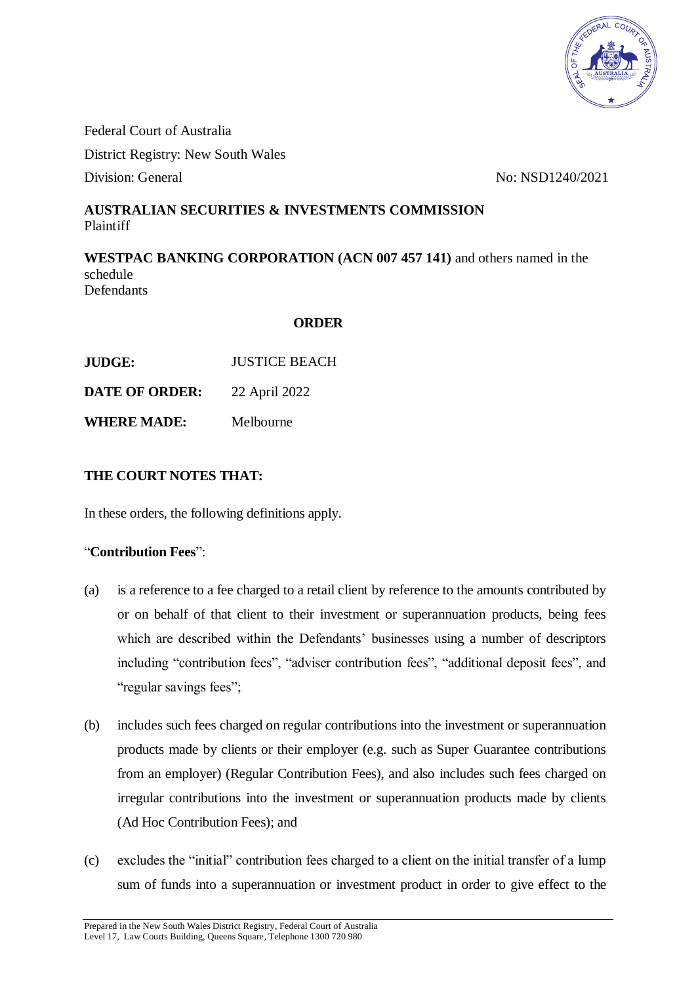

Federal Court of Australia District Registry: New South Wales Division: General No: NSD1240/2021

# **AUSTRALIAN SECURITIES & INVESTMENTS COMMISSION** Plaintiff

**WESTPAC BANKING CORPORATION (ACN 007 457 141)** and others named in the schedule Defendants

#### **ORDER**

**JUDGE:** JUSTICE BEACH

**DATE OF ORDER:** 22 April 2022

**WHERE MADE:** Melbourne

## **THE COURT NOTES THAT:**

In these orders, the following definitions apply.

## "**Contribution Fees**":

- (a) is a reference to a fee charged to a retail client by reference to the amounts contributed by or on behalf of that client to their investment or superannuation products, being fees which are described within the Defendants' businesses using a number of descriptors including "contribution fees", "adviser contribution fees", "additional deposit fees", and "regular savings fees";
- (b) includes such fees charged on regular contributions into the investment or superannuation products made by clients or their employer (e.g. such as Super Guarantee contributions from an employer) (Regular Contribution Fees), and also includes such fees charged on irregular contributions into the investment or superannuation products made by clients (Ad Hoc Contribution Fees); and
- (c) excludes the "initial" contribution fees charged to a client on the initial transfer of a lump sum of funds into a superannuation or investment product in order to give effect to the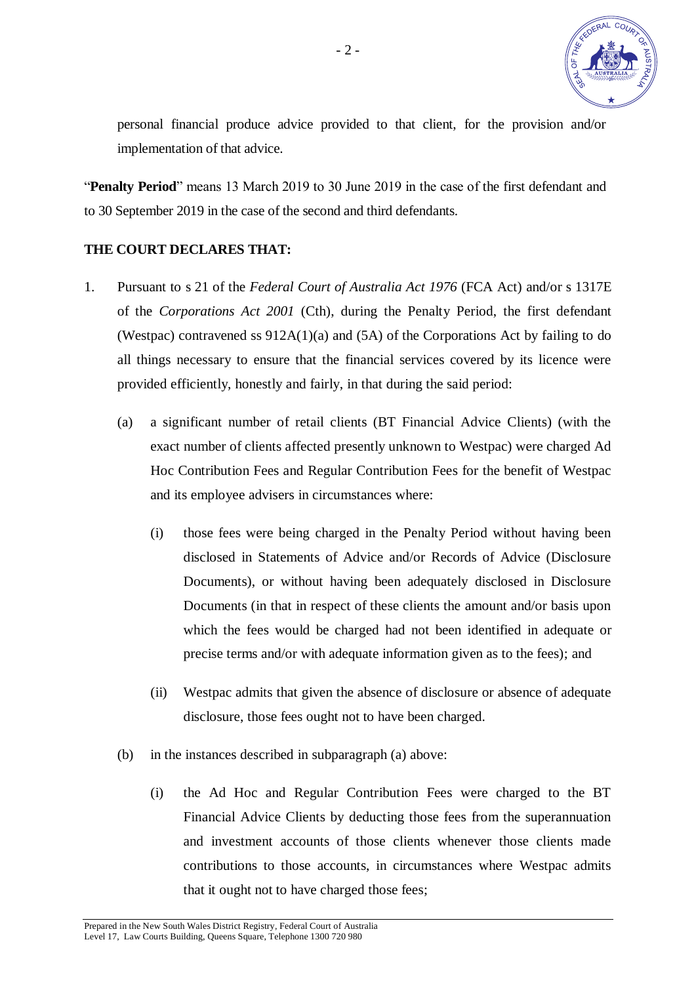

personal financial produce advice provided to that client, for the provision and/or implementation of that advice.

"**Penalty Period**" means 13 March 2019 to 30 June 2019 in the case of the first defendant and to 30 September 2019 in the case of the second and third defendants.

#### **THE COURT DECLARES THAT:**

- 1. Pursuant to s 21 of the *Federal Court of Australia Act 1976* (FCA Act) and/or s 1317E of the *Corporations Act 2001* (Cth), during the Penalty Period, the first defendant (Westpac) contravened ss 912A(1)(a) and (5A) of the Corporations Act by failing to do all things necessary to ensure that the financial services covered by its licence were provided efficiently, honestly and fairly, in that during the said period:
	- (a) a significant number of retail clients (BT Financial Advice Clients) (with the exact number of clients affected presently unknown to Westpac) were charged Ad Hoc Contribution Fees and Regular Contribution Fees for the benefit of Westpac and its employee advisers in circumstances where:
		- (i) those fees were being charged in the Penalty Period without having been disclosed in Statements of Advice and/or Records of Advice (Disclosure Documents), or without having been adequately disclosed in Disclosure Documents (in that in respect of these clients the amount and/or basis upon which the fees would be charged had not been identified in adequate or precise terms and/or with adequate information given as to the fees); and
		- (ii) Westpac admits that given the absence of disclosure or absence of adequate disclosure, those fees ought not to have been charged.
	- (b) in the instances described in subparagraph (a) above:
		- (i) the Ad Hoc and Regular Contribution Fees were charged to the BT Financial Advice Clients by deducting those fees from the superannuation and investment accounts of those clients whenever those clients made contributions to those accounts, in circumstances where Westpac admits that it ought not to have charged those fees;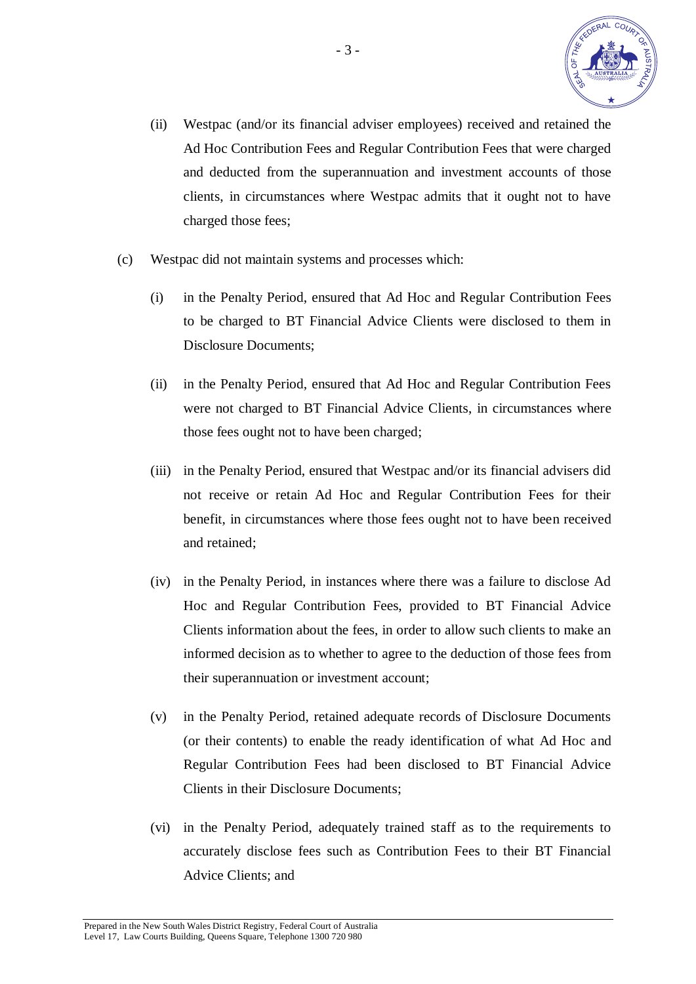

- (ii) Westpac (and/or its financial adviser employees) received and retained the Ad Hoc Contribution Fees and Regular Contribution Fees that were charged and deducted from the superannuation and investment accounts of those clients, in circumstances where Westpac admits that it ought not to have charged those fees;
- (c) Westpac did not maintain systems and processes which:
	- (i) in the Penalty Period, ensured that Ad Hoc and Regular Contribution Fees to be charged to BT Financial Advice Clients were disclosed to them in Disclosure Documents;
	- (ii) in the Penalty Period, ensured that Ad Hoc and Regular Contribution Fees were not charged to BT Financial Advice Clients, in circumstances where those fees ought not to have been charged;
	- (iii) in the Penalty Period, ensured that Westpac and/or its financial advisers did not receive or retain Ad Hoc and Regular Contribution Fees for their benefit, in circumstances where those fees ought not to have been received and retained;
	- (iv) in the Penalty Period, in instances where there was a failure to disclose Ad Hoc and Regular Contribution Fees, provided to BT Financial Advice Clients information about the fees, in order to allow such clients to make an informed decision as to whether to agree to the deduction of those fees from their superannuation or investment account;
	- (v) in the Penalty Period, retained adequate records of Disclosure Documents (or their contents) to enable the ready identification of what Ad Hoc and Regular Contribution Fees had been disclosed to BT Financial Advice Clients in their Disclosure Documents;
	- (vi) in the Penalty Period, adequately trained staff as to the requirements to accurately disclose fees such as Contribution Fees to their BT Financial Advice Clients; and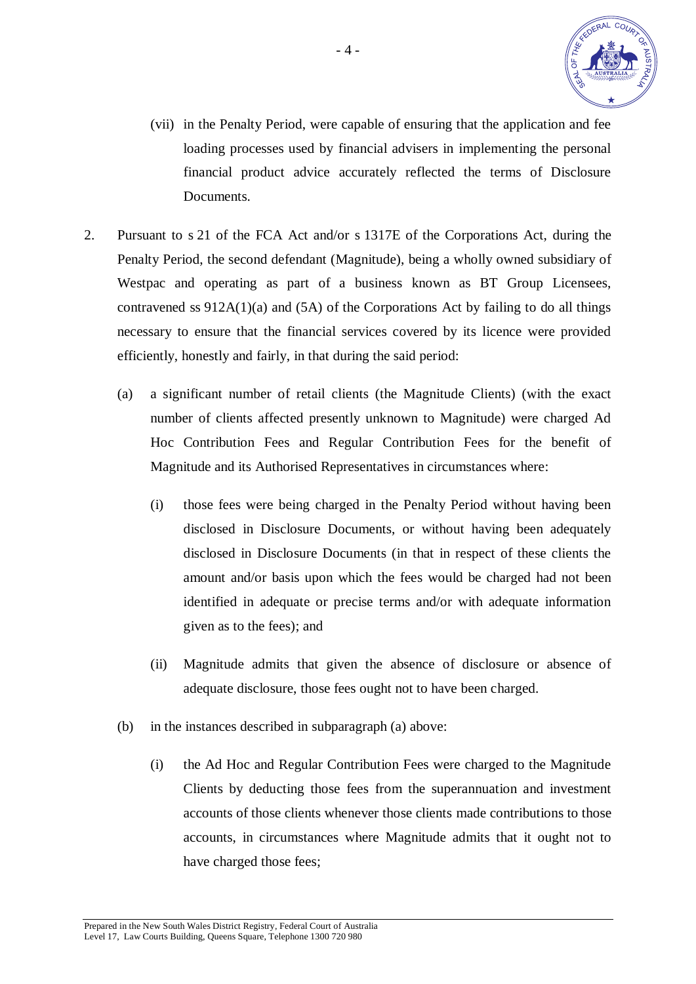

- (vii) in the Penalty Period, were capable of ensuring that the application and fee loading processes used by financial advisers in implementing the personal financial product advice accurately reflected the terms of Disclosure Documents.
- 2. Pursuant to s 21 of the FCA Act and/or s 1317E of the Corporations Act, during the Penalty Period, the second defendant (Magnitude), being a wholly owned subsidiary of Westpac and operating as part of a business known as BT Group Licensees, contravened ss  $912A(1)(a)$  and  $(5A)$  of the Corporations Act by failing to do all things necessary to ensure that the financial services covered by its licence were provided efficiently, honestly and fairly, in that during the said period:
	- (a) a significant number of retail clients (the Magnitude Clients) (with the exact number of clients affected presently unknown to Magnitude) were charged Ad Hoc Contribution Fees and Regular Contribution Fees for the benefit of Magnitude and its Authorised Representatives in circumstances where:
		- (i) those fees were being charged in the Penalty Period without having been disclosed in Disclosure Documents, or without having been adequately disclosed in Disclosure Documents (in that in respect of these clients the amount and/or basis upon which the fees would be charged had not been identified in adequate or precise terms and/or with adequate information given as to the fees); and
		- (ii) Magnitude admits that given the absence of disclosure or absence of adequate disclosure, those fees ought not to have been charged.
	- (b) in the instances described in subparagraph (a) above:
		- (i) the Ad Hoc and Regular Contribution Fees were charged to the Magnitude Clients by deducting those fees from the superannuation and investment accounts of those clients whenever those clients made contributions to those accounts, in circumstances where Magnitude admits that it ought not to have charged those fees;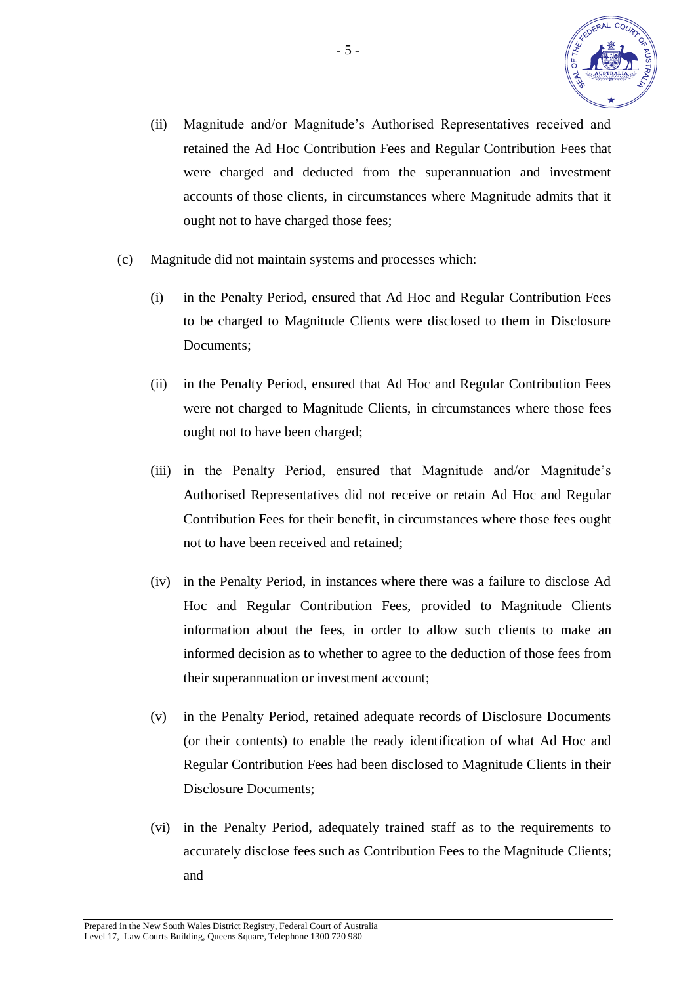

- (ii) Magnitude and/or Magnitude's Authorised Representatives received and retained the Ad Hoc Contribution Fees and Regular Contribution Fees that were charged and deducted from the superannuation and investment accounts of those clients, in circumstances where Magnitude admits that it ought not to have charged those fees;
- (c) Magnitude did not maintain systems and processes which:
	- (i) in the Penalty Period, ensured that Ad Hoc and Regular Contribution Fees to be charged to Magnitude Clients were disclosed to them in Disclosure Documents;
	- (ii) in the Penalty Period, ensured that Ad Hoc and Regular Contribution Fees were not charged to Magnitude Clients, in circumstances where those fees ought not to have been charged;
	- (iii) in the Penalty Period, ensured that Magnitude and/or Magnitude's Authorised Representatives did not receive or retain Ad Hoc and Regular Contribution Fees for their benefit, in circumstances where those fees ought not to have been received and retained;
	- (iv) in the Penalty Period, in instances where there was a failure to disclose Ad Hoc and Regular Contribution Fees, provided to Magnitude Clients information about the fees, in order to allow such clients to make an informed decision as to whether to agree to the deduction of those fees from their superannuation or investment account;
	- (v) in the Penalty Period, retained adequate records of Disclosure Documents (or their contents) to enable the ready identification of what Ad Hoc and Regular Contribution Fees had been disclosed to Magnitude Clients in their Disclosure Documents;
	- (vi) in the Penalty Period, adequately trained staff as to the requirements to accurately disclose fees such as Contribution Fees to the Magnitude Clients; and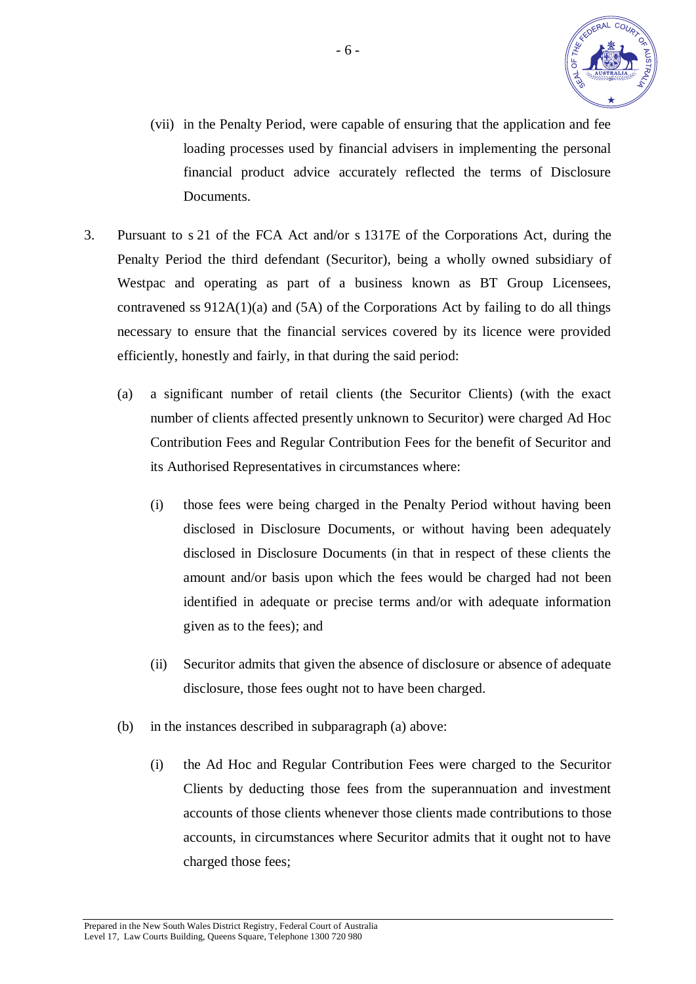

- (vii) in the Penalty Period, were capable of ensuring that the application and fee loading processes used by financial advisers in implementing the personal financial product advice accurately reflected the terms of Disclosure Documents.
- 3. Pursuant to s 21 of the FCA Act and/or s 1317E of the Corporations Act, during the Penalty Period the third defendant (Securitor), being a wholly owned subsidiary of Westpac and operating as part of a business known as BT Group Licensees, contravened ss  $912A(1)(a)$  and  $(5A)$  of the Corporations Act by failing to do all things necessary to ensure that the financial services covered by its licence were provided efficiently, honestly and fairly, in that during the said period:
	- (a) a significant number of retail clients (the Securitor Clients) (with the exact number of clients affected presently unknown to Securitor) were charged Ad Hoc Contribution Fees and Regular Contribution Fees for the benefit of Securitor and its Authorised Representatives in circumstances where:
		- (i) those fees were being charged in the Penalty Period without having been disclosed in Disclosure Documents, or without having been adequately disclosed in Disclosure Documents (in that in respect of these clients the amount and/or basis upon which the fees would be charged had not been identified in adequate or precise terms and/or with adequate information given as to the fees); and
		- (ii) Securitor admits that given the absence of disclosure or absence of adequate disclosure, those fees ought not to have been charged.
	- (b) in the instances described in subparagraph (a) above:
		- (i) the Ad Hoc and Regular Contribution Fees were charged to the Securitor Clients by deducting those fees from the superannuation and investment accounts of those clients whenever those clients made contributions to those accounts, in circumstances where Securitor admits that it ought not to have charged those fees;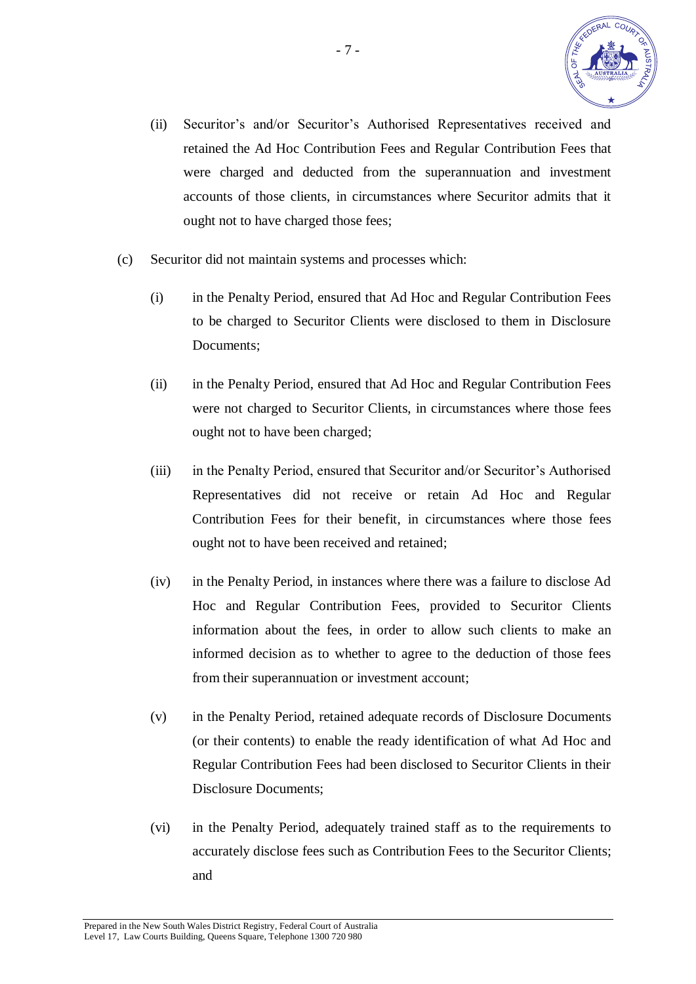

- (ii) Securitor's and/or Securitor's Authorised Representatives received and retained the Ad Hoc Contribution Fees and Regular Contribution Fees that were charged and deducted from the superannuation and investment accounts of those clients, in circumstances where Securitor admits that it ought not to have charged those fees;
- (c) Securitor did not maintain systems and processes which:
	- (i) in the Penalty Period, ensured that Ad Hoc and Regular Contribution Fees to be charged to Securitor Clients were disclosed to them in Disclosure Documents;
	- (ii) in the Penalty Period, ensured that Ad Hoc and Regular Contribution Fees were not charged to Securitor Clients, in circumstances where those fees ought not to have been charged;
	- (iii) in the Penalty Period, ensured that Securitor and/or Securitor's Authorised Representatives did not receive or retain Ad Hoc and Regular Contribution Fees for their benefit, in circumstances where those fees ought not to have been received and retained;
	- (iv) in the Penalty Period, in instances where there was a failure to disclose Ad Hoc and Regular Contribution Fees, provided to Securitor Clients information about the fees, in order to allow such clients to make an informed decision as to whether to agree to the deduction of those fees from their superannuation or investment account;
	- (v) in the Penalty Period, retained adequate records of Disclosure Documents (or their contents) to enable the ready identification of what Ad Hoc and Regular Contribution Fees had been disclosed to Securitor Clients in their Disclosure Documents;
	- (vi) in the Penalty Period, adequately trained staff as to the requirements to accurately disclose fees such as Contribution Fees to the Securitor Clients; and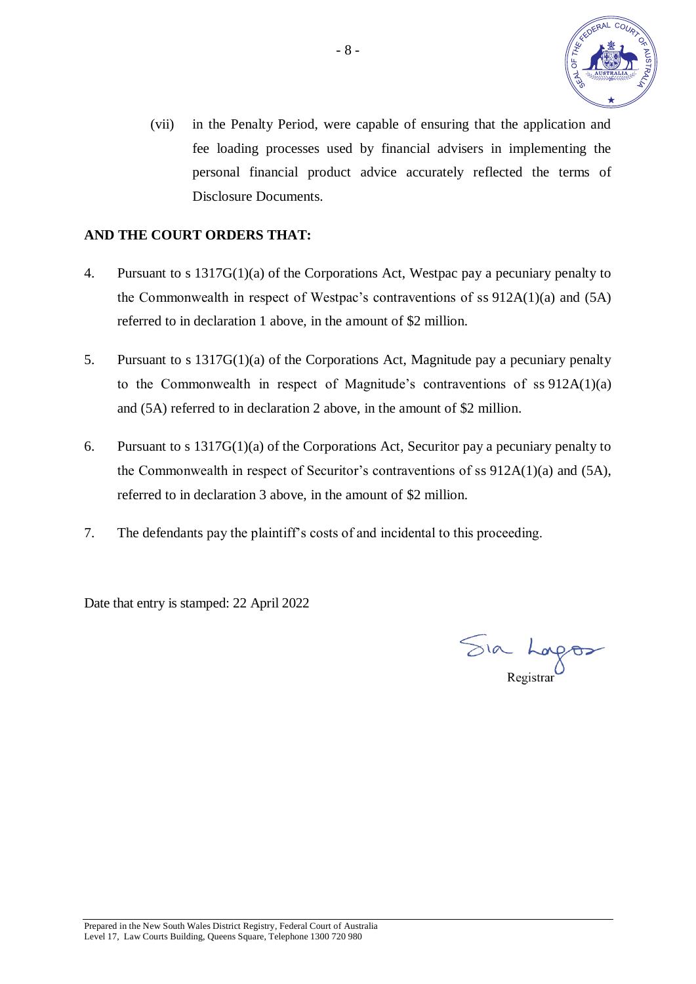

(vii) in the Penalty Period, were capable of ensuring that the application and fee loading processes used by financial advisers in implementing the personal financial product advice accurately reflected the terms of Disclosure Documents.

# **AND THE COURT ORDERS THAT:**

- 4. Pursuant to s 1317G(1)(a) of the Corporations Act, Westpac pay a pecuniary penalty to the Commonwealth in respect of Westpac's contraventions of ss 912A(1)(a) and (5A) referred to in declaration 1 above, in the amount of \$2 million.
- 5. Pursuant to s 1317G(1)(a) of the Corporations Act, Magnitude pay a pecuniary penalty to the Commonwealth in respect of Magnitude's contraventions of ss 912A(1)(a) and (5A) referred to in declaration 2 above, in the amount of \$2 million.
- 6. Pursuant to s 1317G(1)(a) of the Corporations Act, Securitor pay a pecuniary penalty to the Commonwealth in respect of Securitor's contraventions of ss 912A(1)(a) and (5A), referred to in declaration 3 above, in the amount of \$2 million.
- 7. The defendants pay the plaintiff's costs of and incidental to this proceeding.

Date that entry is stamped: 22 April 2022

Sia Lorgos